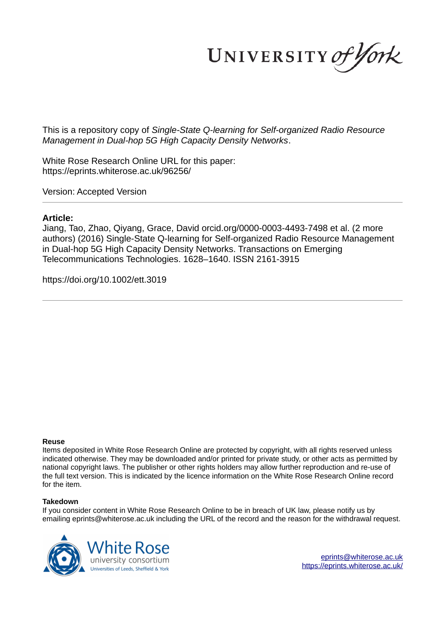UNIVERSITY of York

This is a repository copy of *Single-State Q-learning for Self-organized Radio Resource Management in Dual-hop 5G High Capacity Density Networks*.

White Rose Research Online URL for this paper: https://eprints.whiterose.ac.uk/96256/

Version: Accepted Version

# **Article:**

Jiang, Tao, Zhao, Qiyang, Grace, David orcid.org/0000-0003-4493-7498 et al. (2 more authors) (2016) Single-State Q-learning for Self-organized Radio Resource Management in Dual-hop 5G High Capacity Density Networks. Transactions on Emerging Telecommunications Technologies. 1628–1640. ISSN 2161-3915

https://doi.org/10.1002/ett.3019

# **Reuse**

Items deposited in White Rose Research Online are protected by copyright, with all rights reserved unless indicated otherwise. They may be downloaded and/or printed for private study, or other acts as permitted by national copyright laws. The publisher or other rights holders may allow further reproduction and re-use of the full text version. This is indicated by the licence information on the White Rose Research Online record for the item.

# **Takedown**

If you consider content in White Rose Research Online to be in breach of UK law, please notify us by emailing eprints@whiterose.ac.uk including the URL of the record and the reason for the withdrawal request.



eprints@whiterose.ac.uk https://eprints.whiterose.ac.uk/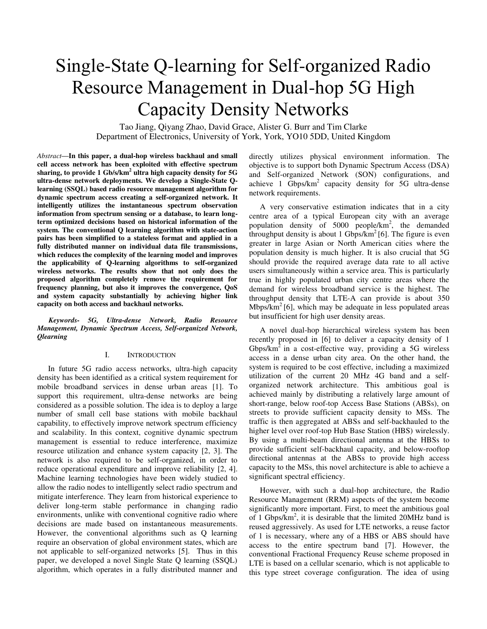# Single-State Q-learning for Self-organized Radio Resource Management in Dual-hop 5G High Capacity Density Networks

Tao Jiang, Qiyang Zhao, David Grace, Alister G. Burr and Tim Clarke Department of Electronics, University of York, York, YO10 5DD, United Kingdom

*Abstract***—In this paper, a dual-hop wireless backhaul and small cell access network has been exploited with effective spectrum sharing, to provide 1 Gb/s/km<sup>2</sup> ultra high capacity density for 5G ultra-dense network deployments. We develop a Single-State Qlearning (SSQL) based radio resource management algorithm for dynamic spectrum access creating a self-organized network. It intelligently utilizes the instantaneous spectrum observation information from spectrum sensing or a database, to learn longterm optimized decisions based on historical information of the system. The conventional Q learning algorithm with state-action pairs has been simplified to a stateless format and applied in a fully distributed manner on individual data file transmissions, which reduces the complexity of the learning model and improves the applicability of Q-learning algorithms to self-organized wireless networks. The results show that not only does the proposed algorithm completely remove the requirement for frequency planning, but also it improves the convergence, QoS and system capacity substantially by achieving higher link capacity on both access and backhaul networks.** 

*Keywords- 5G, Ultra-dense Network, Radio Resource Management, Dynamic Spectrum Access, Self-organized Network, Qlearning*

#### I. INTRODUCTION

In future 5G radio access networks, ultra-high capacity density has been identified as a critical system requirement for mobile broadband services in dense urban areas [\[1\]](#page-10-0). To support this requirement, ultra-dense networks are being considered as a possible solution. The idea is to deploy a large number of small cell base stations with mobile backhaul capability, to effectively improve network spectrum efficiency and scalability. In this context, cognitive dynamic spectrum management is essential to reduce interference, maximize resource utilization and enhance system capacity [\[2,](#page-10-1) [3\]](#page-10-2). The network is also required to be self-organized, in order to reduce operational expenditure and improve reliability [\[2,](#page-10-1) [4\]](#page-10-3). Machine learning technologies have been widely studied to allow the radio nodes to intelligently select radio spectrum and mitigate interference. They learn from historical experience to deliver long-term stable performance in changing radio environments, unlike with conventional cognitive radio where decisions are made based on instantaneous measurements. However, the conventional algorithms such as Q learning require an observation of global environment states, which are not applicable to self-organized networks [\[5\]](#page-10-4). Thus in this paper, we developed a novel Single State Q learning (SSQL) algorithm, which operates in a fully distributed manner and directly utilizes physical environment information. The objective is to support both Dynamic Spectrum Access (DSA) and Self-organized Network (SON) configurations, and achieve 1  $Gbps/km^2$  capacity density for 5G ultra-dense network requirements.

A very conservative estimation indicates that in a city centre area of a typical European city with an average population density of  $5000$  people/km<sup>2</sup>, the demanded throughput density is about 1 Gbps/ $km^2$ [\[6\]](#page-10-5). The figure is even greater in large Asian or North American cities where the population density is much higher. It is also crucial that 5G should provide the required average data rate to all active users simultaneously within a service area. This is particularly true in highly populated urban city centre areas where the demand for wireless broadband service is the highest. The throughput density that LTE-A can provide is about 350 Mbps/ $km^2$ [\[6\]](#page-10-5), which may be adequate in less populated areas but insufficient for high user density areas.

A novel dual-hop hierarchical wireless system has been recently proposed in [\[6\]](#page-10-5) to deliver a capacity density of 1 Gbps/ $km<sup>2</sup>$  in a cost-effective way, providing a 5G wireless access in a dense urban city area. On the other hand, the system is required to be cost effective, including a maximized utilization of the current 20 MHz 4G band and a selforganized network architecture. This ambitious goal is achieved mainly by distributing a relatively large amount of short-range, below roof-top Access Base Stations (ABSs), on streets to provide sufficient capacity density to MSs. The traffic is then aggregated at ABSs and self-backhauled to the higher level over roof-top Hub Base Station (HBS) wirelessly. By using a multi-beam directional antenna at the HBSs to provide sufficient self-backhaul capacity, and below-rooftop directional antennas at the ABSs to provide high access capacity to the MSs, this novel architecture is able to achieve a significant spectral efficiency.

However, with such a dual-hop architecture, the Radio Resource Management (RRM) aspects of the system become significantly more important. First, to meet the ambitious goal of 1 Gbps/km<sup>2</sup>, it is desirable that the limited 20MHz band is reused aggressively. As used for LTE networks, a reuse factor of 1 is necessary, where any of a HBS or ABS should have access to the entire spectrum band [\[7\]](#page-11-0). However, the conventional Fractional Frequency Reuse scheme proposed in LTE is based on a cellular scenario, which is not applicable to this type street coverage configuration. The idea of using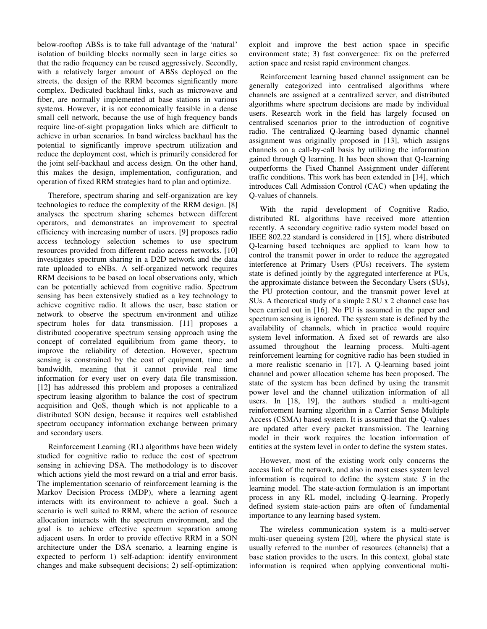below-rooftop ABSs is to take full advantage of the 'natural' isolation of building blocks normally seen in large cities so that the radio frequency can be reused aggressively. Secondly, with a relatively larger amount of ABSs deployed on the streets, the design of the RRM becomes significantly more complex. Dedicated backhaul links, such as microwave and fiber, are normally implemented at base stations in various systems. However, it is not economically feasible in a dense small cell network, because the use of high frequency bands require line-of-sight propagation links which are difficult to achieve in urban scenarios. In band wireless backhaul has the potential to significantly improve spectrum utilization and reduce the deployment cost, which is primarily considered for the joint self-backhaul and access design. On the other hand, this makes the design, implementation, configuration, and operation of fixed RRM strategies hard to plan and optimize.

Therefore, spectrum sharing and self-organization are key technologies to reduce the complexity of the RRM design. [\[8\]](#page-11-1) analyses the spectrum sharing schemes between different operators, and demonstrates an improvement to spectral efficiency with increasing number of users. [\[9\]](#page-11-2) proposes radio access technology selection schemes to use spectrum resources provided from different radio access networks. [\[10\]](#page-11-3) investigates spectrum sharing in a D2D network and the data rate uploaded to eNBs. A self-organized network requires RRM decisions to be based on local observations only, which can be potentially achieved from cognitive radio. Spectrum sensing has been extensively studied as a key technology to achieve cognitive radio. It allows the user, base station or network to observe the spectrum environment and utilize spectrum holes for data transmission. [\[11\]](#page-11-4) proposes a distributed cooperative spectrum sensing approach using the concept of correlated equilibrium from game theory, to improve the reliability of detection. However, spectrum sensing is constrained by the cost of equipment, time and bandwidth, meaning that it cannot provide real time information for every user on every data file transmission. [\[12\]](#page-11-5) has addressed this problem and proposes a centralized spectrum leasing algorithm to balance the cost of spectrum acquisition and QoS, though which is not applicable to a distributed SON design, because it requires well established spectrum occupancy information exchange between primary and secondary users.

Reinforcement Learning (RL) algorithms have been widely studied for cognitive radio to reduce the cost of spectrum sensing in achieving DSA. The methodology is to discover which actions yield the most reward on a trial and error basis. The implementation scenario of reinforcement learning is the Markov Decision Process (MDP), where a learning agent interacts with its environment to achieve a goal. Such a scenario is well suited to RRM, where the action of resource allocation interacts with the spectrum environment, and the goal is to achieve effective spectrum separation among adjacent users. In order to provide effective RRM in a SON architecture under the DSA scenario, a learning engine is expected to perform 1) self-adaption: identify environment changes and make subsequent decisions; 2) self-optimization:

exploit and improve the best action space in specific environment state; 3) fast convergence: fix on the preferred action space and resist rapid environment changes.

Reinforcement learning based channel assignment can be generally categorized into centralised algorithms where channels are assigned at a centralized server, and distributed algorithms where spectrum decisions are made by individual users. Research work in the field has largely focused on centralised scenarios prior to the introduction of cognitive radio. The centralized Q-learning based dynamic channel assignment was originally proposed in [\[13\]](#page-11-6), which assigns channels on a call-by-call basis by utilizing the information gained through Q learning. It has been shown that Q-learning outperforms the Fixed Channel Assignment under different traffic conditions. This work has been extended in [\[14\]](#page-11-7), which introduces Call Admission Control (CAC) when updating the Q-values of channels.

With the rapid development of Cognitive Radio, distributed RL algorithms have received more attention recently. A secondary cognitive radio system model based on IEEE 802.22 standard is considered in [\[15\]](#page-11-8), where distributed Q-learning based techniques are applied to learn how to control the transmit power in order to reduce the aggregated interference at Primary Users (PUs) receivers. The system state is defined jointly by the aggregated interference at PUs, the approximate distance between the Secondary Users (SUs), the PU protection contour, and the transmit power level at SUs. A theoretical study of a simple 2 SU x 2 channel case has been carried out in [\[16\]](#page-11-9). No PU is assumed in the paper and spectrum sensing is ignored. The system state is defined by the availability of channels, which in practice would require system level information. A fixed set of rewards are also assumed throughout the learning process. Multi-agent reinforcement learning for cognitive radio has been studied in a more realistic scenario in [\[17\]](#page-11-10). A Q-learning based joint channel and power allocation scheme has been proposed. The state of the system has been defined by using the transmit power level and the channel utilization information of all users. In [\[18,](#page-11-11) [19\]](#page-11-12), the authors studied a multi-agent reinforcement learning algorithm in a Carrier Sense Multiple Access (CSMA) based system. It is assumed that the Q-values are updated after every packet transmission. The learning model in their work requires the location information of entities at the system level in order to define the system states.

However, most of the existing work only concerns the access link of the network, and also in most cases system level information is required to define the system state *S* in the learning model. The state-action formulation is an important process in any RL model, including Q-learning. Properly defined system state-action pairs are often of fundamental importance to any learning based system.

The wireless communication system is a multi-server multi-user queueing system [\[20\]](#page-11-13), where the physical state is usually referred to the number of resources (channels) that a base station provides to the users. In this context, global state information is required when applying conventional multi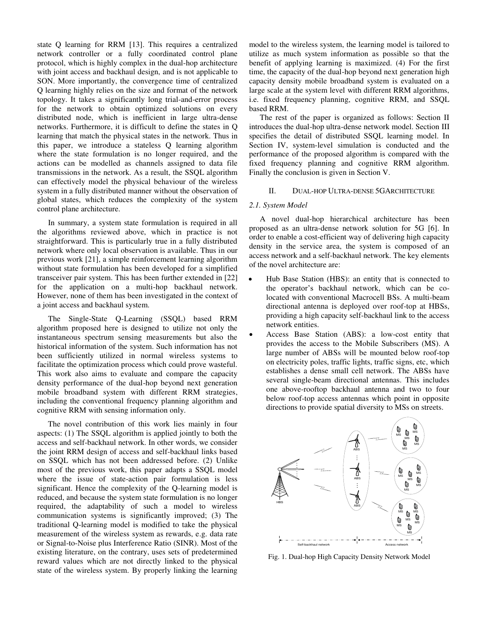state Q learning for RRM [\[13\]](#page-11-6). This requires a centralized network controller or a fully coordinated control plane protocol, which is highly complex in the dual-hop architecture with joint access and backhaul design, and is not applicable to SON. More importantly, the convergence time of centralized Q learning highly relies on the size and format of the network topology. It takes a significantly long trial-and-error process for the network to obtain optimized solutions on every distributed node, which is inefficient in large ultra-dense networks. Furthermore, it is difficult to define the states in Q learning that match the physical states in the network. Thus in this paper, we introduce a stateless Q learning algorithm where the state formulation is no longer required, and the actions can be modelled as channels assigned to data file transmissions in the network. As a result, the SSQL algorithm can effectively model the physical behaviour of the wireless system in a fully distributed manner without the observation of global states, which reduces the complexity of the system control plane architecture.

In summary, a system state formulation is required in all the algorithms reviewed above, which in practice is not straightforward. This is particularly true in a fully distributed network where only local observation is available. Thus in our previous work [\[21\]](#page-11-14), a simple reinforcement learning algorithm without state formulation has been developed for a simplified transceiver pair system. This has been further extended in [\[22\]](#page-11-15) for the application on a multi-hop backhaul network. However, none of them has been investigated in the context of a joint access and backhaul system.

The Single-State Q-Learning (SSQL) based RRM algorithm proposed here is designed to utilize not only the instantaneous spectrum sensing measurements but also the historical information of the system. Such information has not been sufficiently utilized in normal wireless systems to facilitate the optimization process which could prove wasteful. This work also aims to evaluate and compare the capacity density performance of the dual-hop beyond next generation mobile broadband system with different RRM strategies, including the conventional frequency planning algorithm and cognitive RRM with sensing information only.

The novel contribution of this work lies mainly in four aspects: (1) The SSQL algorithm is applied jointly to both the access and self-backhaul network. In other words, we consider the joint RRM design of access and self-backhaul links based on SSQL which has not been addressed before. (2) Unlike most of the previous work, this paper adapts a SSQL model where the issue of state-action pair formulation is less significant. Hence the complexity of the Q-learning model is reduced, and because the system state formulation is no longer required, the adaptability of such a model to wireless communication systems is significantly improved; (3) The traditional Q-learning model is modified to take the physical measurement of the wireless system as rewards, e.g. data rate or Signal-to-Noise plus Interference Ratio (SINR). Most of the existing literature, on the contrary, uses sets of predetermined reward values which are not directly linked to the physical state of the wireless system. By properly linking the learning model to the wireless system, the learning model is tailored to utilize as much system information as possible so that the benefit of applying learning is maximized. (4) For the first time, the capacity of the dual-hop beyond next generation high capacity density mobile broadband system is evaluated on a large scale at the system level with different RRM algorithms, i.e. fixed frequency planning, cognitive RRM, and SSQL based RRM.

The rest of the paper is organized as follows: Section II introduces the dual-hop ultra-dense network model. Section III specifies the detail of distributed SSQL learning model. In Section IV, system-level simulation is conducted and the performance of the proposed algorithm is compared with the fixed frequency planning and cognitive RRM algorithm. Finally the conclusion is given in Section V.

#### II. DUAL-HOP ULTRA-DENSE 5GARCHITECTURE

#### *2.1. System Model*

A novel dual-hop hierarchical architecture has been proposed as an ultra-dense network solution for 5G [\[6\]](#page-10-5). In order to enable a cost-efficient way of delivering high capacity density in the service area, the system is composed of an access network and a self-backhaul network. The key elements of the novel architecture are:

- Hub Base Station (HBS): an entity that is connected to the operator's backhaul network, which can be colocated with conventional Macrocell BSs. A multi-beam directional antenna is deployed over roof-top at HBSs, providing a high capacity self-backhaul link to the access network entities.
- Access Base Station (ABS): a low-cost entity that provides the access to the Mobile Subscribers (MS). A large number of ABSs will be mounted below roof-top on electricity poles, traffic lights, traffic signs, etc, which establishes a dense small cell network. The ABSs have several single-beam directional antennas. This includes one above-rooftop backhaul antenna and two to four below roof-top access antennas which point in opposite directions to provide spatial diversity to MSs on streets.



Fig. 1. Dual-hop High Capacity Density Network Model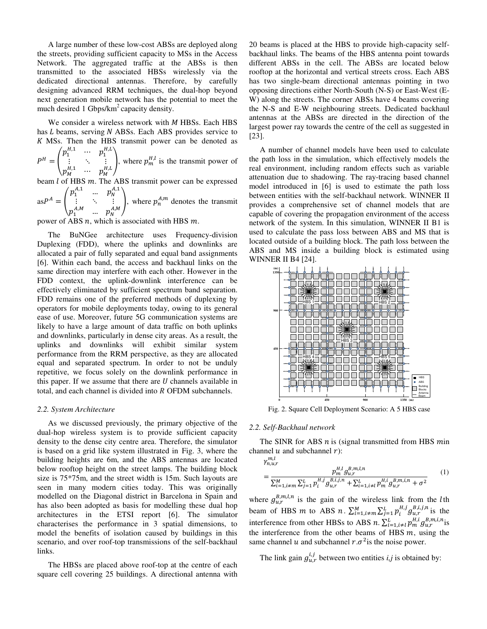A large number of these low-cost ABSs are deployed along the streets, providing sufficient capacity to MSs in the Access Network. The aggregated traffic at the ABSs is then transmitted to the associated HBSs wirelessly via the dedicated directional antennas. Therefore, by carefully designing advanced RRM techniques, the dual-hop beyond next generation mobile network has the potential to meet the much desired 1 Gbps/ $km^2$  capacity density.

We consider a wireless network with  $M$  HBSs. Each HBS has  $L$  beams, serving  $N$  ABSs. Each ABS provides service to K MSs. Then the HBS transmit power can be denoted as  $H/L$ 

$$
P^{H} = \begin{pmatrix} p_1^{H,1} & \cdots & p_1^{H,L} \\ \vdots & \ddots & \vdots \\ p_M^{H,1} & \cdots & p_M^{H,L} \end{pmatrix}
$$
, where  $p_m^{H,l}$  is the transmit power of

beam  $l$  of HBS  $m$ . The ABS transmit power can be expressed

 $asP^{A} = \begin{pmatrix} p_1^{A,1} & \dots & p_N^{A,1} \\ \vdots & \ddots & \vdots \end{pmatrix}$  $\vdots$  $p_1^{A,M}$   $\ldots$   $p_N^{A,M}$ , where  $p_n^{A,m}$  denotes the transmit  $p_1^{A,M}$ 

power of ABS  $n$ , which is associated with HBS  $m$ .

The BuNGee architecture uses Frequency-division Duplexing (FDD), where the uplinks and downlinks are allocated a pair of fully separated and equal band assignments [\[6\]](#page-10-5). Within each band, the access and backhaul links on the same direction may interfere with each other. However in the FDD context, the uplink-downlink interference can be effectively eliminated by sufficient spectrum band separation. FDD remains one of the preferred methods of duplexing by operators for mobile deployments today, owing to its general ease of use. Moreover, future 5G communication systems are likely to have a large amount of data traffic on both uplinks and downlinks, particularly in dense city areas. As a result, the uplinks and downlinks will exhibit similar system performance from the RRM perspective, as they are allocated equal and separated spectrum. In order to not be unduly repetitive, we focus solely on the downlink performance in this paper. If we assume that there are  $U$  channels available in total, and each channel is divided into R OFDM subchannels.

## *2.2. System Architecture*

As we discussed previously, the primary objective of the dual-hop wireless system is to provide sufficient capacity density to the dense city centre area. Therefore, the simulator is based on a grid like system illustrated in Fig. 3, where the building heights are 6m, and the ABS antennas are located below rooftop height on the street lamps. The building block size is 75\*75m, and the street width is 15m. Such layouts are seen in many modern cities today. This was originally modelled on the Diagonal district in Barcelona in Spain and has also been adopted as basis for modelling these dual hop architectures in the ETSI report [\[6\]](#page-10-5). The simulator characterises the performance in 3 spatial dimensions, to model the benefits of isolation caused by buildings in this scenario, and over roof-top transmissions of the self-backhaul links.

The HBSs are placed above roof-top at the centre of each square cell covering 25 buildings. A directional antenna with 20 beams is placed at the HBS to provide high-capacity selfbackhaul links. The beams of the HBS antenna point towards different ABSs in the cell. The ABSs are located below rooftop at the horizontal and vertical streets cross. Each ABS has two single-beam directional antennas pointing in two opposing directions either North-South (N-S) or East-West (E-W) along the streets. The corner ABSs have 4 beams covering the N-S and E-W neighbouring streets. Dedicated backhaul antennas at the ABSs are directed in the direction of the largest power ray towards the centre of the cell as suggested in [\[23\]](#page-11-16).

A number of channel models have been used to calculate the path loss in the simulation, which effectively models the real environment, including random effects such as variable attenuation due to shadowing. The ray-tracing based channel model introduced in [\[6\]](#page-10-5) is used to estimate the path loss between entities with the self-backhaul network. WINNER II provides a comprehensive set of channel models that are capable of covering the propagation environment of the access network of the system. In this simulation, WINNER II B1 is used to calculate the pass loss between ABS and MS that is located outside of a building block. The path loss between the ABS and MS inside a building block is estimated using WINNER II B4 [\[24\]](#page-11-17).



Fig. 2. Square Cell Deployment Scenario: A 5 HBS case

#### *2.2. Self-Backhaul network*

The SINR for ABS  $n$  is (signal transmitted from HBS  $min$ channel  $u$  and subchannel  $r$ ):

<span id="page-4-0"></span>
$$
\gamma_{n,u,r}^{m,l}
$$
\n
$$
= \frac{p_m^{H,l} g_{u,r}^{B,m,l,n}}{\sum_{i=1,i\neq m}^{M} \sum_{j=1}^{L} p_i^{H,j} g_{u,r}^{B,i,j,n} + \sum_{i=1,i\neq l}^{L} p_m^{H,i} g_{u,r}^{B,m,i,n} + \sigma^2}
$$
\n(1)

where  $g_{u,r}^{B,m,l,n}$  is the gain of the wireless link from the *l*th beam of HBS *m* to ABS *n*.  $\sum_{i=1,i\neq m}^{M} \sum_{j=1}^{L} p_i^{H,j} g_{u,r}^{B,i,j,n}$  is the interference from other HBSs to ABS  $n$ .  $\sum_{i=1, i \neq l}^{L} p_m^{H,l} g_{u,r}^{B,m,l,n}$  is the interference from the other beams of HBS  $m$ , using the same channel u and subchannel  $r.\sigma^2$  is the noise power.

The link gain  $g_{u,r}^{i,j}$  between two entities *i,j* is obtained by: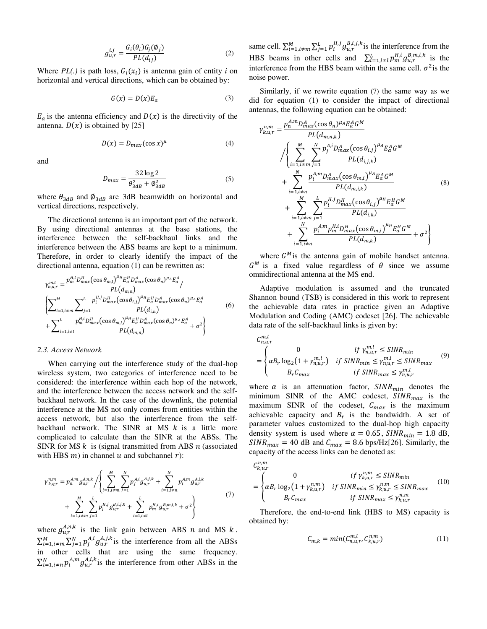$$
g_{u,r}^{i,j} = \frac{G_i(\theta_i)G_j(\phi_j)}{PL(d_{ij})}
$$
\n(2)

Where  $PL(.)$  is path loss,  $G_i(x_i)$  is antenna gain of entity *i* on horizontal and vertical directions, which can be obtained by:

$$
G(x) = D(x)E_a \tag{3}
$$

 $E_a$  is the antenna efficiency and  $D(x)$  is the directivity of the antenna.  $D(x)$  is obtained by [\[25\]](#page-11-18)

$$
D(x) = D_{max}(\cos x)^{\mu} \tag{4}
$$

and

$$
D_{max} = \frac{32 \log 2}{\theta_{3dB}^2 + \phi_{3dB}^2}
$$
 (5)

where  $\theta_{3dB}$  and  $\phi_{3dB}$  are 3dB beamwidth on horizontal and vertical directions, respectively.

The directional antenna is an important part of the network. By using directional antennas at the base stations, the interference between the self-backhaul links and the interference between the ABS beams are kept to a minimum. Therefore, in order to clearly identify the impact of the directional antenna, equation [\(1\)](#page-4-0) can be rewritten as:

$$
\gamma_{n,u,r}^{m,l} = \frac{p_m^{H,l} D_{max}^H (\cos \theta_{m,l})^{\mu_H} E_a^H D_{max}^A (\cos \theta_n)^{\mu_A} E_a^A}{PL(d_{m,n})} / \left\{ \sum_{i=1, i \neq m}^{M} \sum_{j=1}^{L} \frac{p_i^{H,j} D_{max}^H (\cos \theta_{i,j})^{\mu_H} E_a^H D_{max}^A (\cos \theta_n)^{\mu_A} E_a^A}{PL(d_{i,n})} + \sum_{i=1, i \neq l}^{L} \frac{p_m^{H,i} D_{max}^H (\cos \theta_{m,i})^{\mu_H} E_a^H D_{max}^A (\cos \theta_n)^{\mu_A} E_a^A}{PL(d_{m,n})} + \sigma^2 \right\}
$$
(6)

## *2.3. Access Network*

When carrying out the interference study of the dual-hop wireless system, two categories of interference need to be considered: the interference within each hop of the network, and the interference between the access network and the selfbackhaul network. In the case of the downlink, the potential interference at the MS not only comes from entities within the access network, but also the interference from the selfbackhaul network. The SINR at MS  $k$  is a little more complicated to calculate than the SINR at the ABSs. The SINR for MS  $k$  is (signal transmitted from ABS  $n$  (associated with HBS  $m$ ) in channel  $u$  and subchannel  $r$ :

$$
\gamma_{k,q,r}^{n,m} = p_n^{A,m} g_{u,r}^{A,n,k} / \left\{ \sum_{i=1,i\neq m}^{M} \sum_{j=1}^{N} p_j^{A,i} g_{u,r}^{A,j,k} + \sum_{i=1,i\neq n}^{N} p_i^{A,m} g_{u,r}^{A,i,k} + \sum_{i=1,i\neq n}^{M} \sum_{j=1}^{L} p_j^{H,j} g_{u,r}^{B,i,j,k} + \sum_{i=1,i\neq l}^{L} p_m^{H,i} g_{u,r}^{B,m,i,k} + \sigma^2 \right\}
$$
(7)

where  $g_{u,r}^{A,n,k}$  is the link gain between ABS *n* and MS *k*.  $\sum_{i=1, i \neq m}^{M} \sum_{j=1}^{N} p_j^{A,i} g_{u,r}^{A,j,k}$  is the interference from all the ABSs in other cells that are using the same frequency.  $\sum_{i=1, i \neq n}^{N} p_i^{A, n} g_{u,r}^{A, \mu, \kappa}$  is the interference from other ABSs in the

same cell.  $\sum_{i=1,i\neq m}^{M} \sum_{j=1}^{L} p_i^{H,j} g_{u,r}^{B,i,j,k}$  is the interference from the HBS beams in other cells and  $\sum_{i=1,i\neq l}^{L} p_m^{\mu,l} g_{u,r}^{B,m,l,k}$  is the interference from the HBS beam within the same cell.  $\sigma^2$  is the noise power.

Similarly, if we rewrite equation [\(7\)](#page-5-0) the same way as we did for equation [\(1\)](#page-4-0) to consider the impact of directional antennas, the following equation can be obtained:

$$
\gamma_{k,u,r}^{n,m} = \frac{p_n^{A,m} D_{max}^{A}(cos \theta_n)^{\mu_A} E_a^A G^M}{PL(d_{m,n,k})}
$$
\n
$$
\sqrt{\left\{\sum_{i=1,i\neq m}^{M} \sum_{j=1}^{N} \frac{p_j^{A,i} D_{max}^A (cos \theta_{i,j})^{\mu_A} E_a^A G^M}{PL(d_{i,j,k})}\right\}} + \sum_{i=1,i\neq n}^{N} \frac{p_i^{A,m} D_{max}^A (cos \theta_{m,i})^{\mu_A} E_a^A G^M}{PL(d_{m,i,k})}
$$
\n
$$
+ \sum_{i=1,i\neq m}^{M} \sum_{j=1}^{N} \frac{p_i^{H,j} D_{max}^H (cos \theta_{i,j})^{\mu_H} E_a^H G^M}{PL(d_{i,k})}
$$
\n
$$
+ \sum_{i=1,i\neq n}^{N} \frac{p_i^{A,m} p_m^{H,i} D_{max}^H (cos \theta_{m,i})^{\mu_H} E_a^H G^M}{PL(d_{m,k})} + \sigma^2\right\}
$$
\n(8)

where  $G^M$  is the antenna gain of mobile handset antenna.  $G^M$  is a fixed value regardless of  $\theta$  since we assume omnidirectional antenna at the MS end.

Adaptive modulation is assumed and the truncated Shannon bound (TSB) is considered in this work to represent the achievable data rates in practice given an Adaptive Modulation and Coding (AMC) codeset [\[26\]](#page-11-19). The achievable data rate of the self-backhaul links is given by:

<span id="page-5-1"></span>
$$
C_{n,u,r}^{m,l}
$$
\n
$$
= \begin{cases}\n0 & \text{if } \gamma_{n,u,r}^{m,l} \leq \text{SINR}_{min} \\
\alpha B_r \log_2(1 + \gamma_{n,u,r}^{m,l}) & \text{if } \text{SINR}_{min} \leq \gamma_{n,u,r}^{m,l} \leq \text{SINR}_{max} \\
B_r C_{max} & \text{if } \text{SINR}_{max} \leq \gamma_{n,u,r}^{m,l}\n\end{cases} (9)
$$

where  $\alpha$  is an attenuation factor,  $SINR_{min}$  denotes the minimum SINR of the AMC codeset,  $SINR_{max}$  is the maximum SINR of the codeset,  $C_{max}$  is the maximum achievable capacity and  $B_r$  is the bandwidth. A set of parameter values customized to the dual-hop high capacity density system is used where  $\alpha = 0.65$ ,  $SINR_{min} = 1.8$  dB,  $SINR_{max} = 40$  dB and  $C_{max} = 8.6$  bps/Hz[\[26\]](#page-11-19). Similarly, the capacity of the access links can be denoted as:

$$
C_{k,u,r}^{n,m}
$$
\n
$$
= \begin{cases}\n0 & \text{if } \gamma_{k,u,r}^{n,m} \leq \text{SINR}_{min} \\
\alpha B_r \log_2(1 + \gamma_{k,u,r}^{n,m}) & \text{if } \text{SINR}_{min} \leq \gamma_{k,u,r}^{n,m} \leq \text{SINR}_{max} \\
B_r C_{max} & \text{if } \text{SINR}_{max} \leq \gamma_{k,u,r}^{n,m}\n\end{cases} (10)
$$

 $\rightarrow$ n m

<span id="page-5-0"></span>Therefore, the end-to-end link (HBS to MS) capacity is obtained by:

<span id="page-5-2"></span>
$$
C_{m,k} = \min(C_{n,u,r}^{m,l}, C_{k,u,r}^{n,m})
$$
\n(11)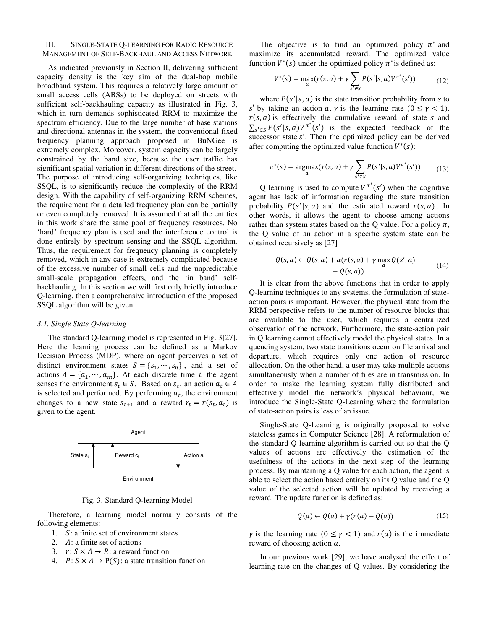# III. SINGLE-STATE Q-LEARNING FOR RADIO RESOURCE MANAGEMENT OF SELF-BACKHAUL AND ACCESS NETWORK

As indicated previously in Section II, delivering sufficient capacity density is the key aim of the dual-hop mobile broadband system. This requires a relatively large amount of small access cells (ABSs) to be deployed on streets with sufficient self-backhauling capacity as illustrated in Fig. 3, which in turn demands sophisticated RRM to maximize the spectrum efficiency. Due to the large number of base stations and directional antennas in the system, the conventional fixed frequency planning approach proposed in BuNGee is extremely complex. Moreover, system capacity can be largely constrained by the band size, because the user traffic has significant spatial variation in different directions of the street. The purpose of introducing self-organizing techniques, like SSQL, is to significantly reduce the complexity of the RRM design. With the capability of self-organizing RRM schemes, the requirement for a detailed frequency plan can be partially or even completely removed. It is assumed that all the entities in this work share the same pool of frequency resources. No 'hard' frequency plan is used and the interference control is done entirely by spectrum sensing and the SSQL algorithm. Thus, the requirement for frequency planning is completely removed, which in any case is extremely complicated because of the excessive number of small cells and the unpredictable small-scale propagation effects, and the 'in band' selfbackhauling. In this section we will first only briefly introduce Q-learning, then a comprehensive introduction of the proposed SSQL algorithm will be given.

## *3.1. Single State Q-learning*

The standard Q-learning model is represented in [Fig. 3\[](#page-6-0)[27\]](#page-11-20). Here the learning process can be defined as a Markov Decision Process (MDP), where an agent perceives a set of distinct environment states  $S = \{s_1, \dots, s_n\}$ , and a set of actions  $A = \{a_1, \dots, a_m\}$ . At each discrete time *t*, the agent senses the environment  $s_t \in S$ . Based on  $s_t$ , an action  $a_t \in A$ is selected and performed. By performing  $a_t$ , the environment changes to a new state  $s_{t+1}$  and a reward  $r_t = r(s_t, a_t)$  is given to the agent.



Fig. 3. Standard Q-learning Model

<span id="page-6-0"></span>Therefore, a learning model normally consists of the following elements:

- 1.  $\mathcal{S}:$  a finite set of environment states
- 2.  $\Delta$ : a finite set of actions
- 3.  $r: S \times A \rightarrow R$ : a reward function
- 4.  $P: S \times A \rightarrow P(S)$ : a state transition function

The objective is to find an optimized policy  $\pi^*$  and maximize its accumulated reward. The optimized value function  $V^*(s)$  under the optimized policy  $\pi^*$  is defined as:

$$
V^*(s) = \max_{a} (r(s, a) + \gamma \sum_{s' \in S} P(s'|s, a) V^{\pi^*}(s')) \tag{12}
$$

where  $P(s'|s, a)$  is the state transition probability from s to s' by taking an action  $a \cdot \gamma$  is the learning rate  $(0 \le \gamma < 1)$ .  $r(s, a)$  is effectively the cumulative reward of state s and  $\sum_{s' \in S} P(s'|s, a) V^{\pi^*}(s')$  is the expected feedback of the  $s$ uccessor state  $s'$ . Then the optimized policy can be derived after computing the optimized value function  $V^*(s)$ :

$$
\pi^*(s) = \underset{a}{\text{argmax}}(r(s, a) + \gamma \sum_{s' \in S} P(s'|s, a)V^{\pi^*}(s')) \tag{13}
$$

Q learning is used to compute  $V^{\pi^*}(s')$  when the cognitive agent has lack of information regarding the state transition probability  $P(s'|s, a)$  and the estimated reward  $r(s, a)$ . In other words, it allows the agent to choose among actions rather than system states based on the O value. For a policy  $\pi$ , the Q value of an action in a specific system state can be obtained recursively as [\[27\]](#page-11-20)

$$
Q(s, a) \leftarrow Q(s, a) + \alpha(r(s, a) + \gamma \max_{a} Q(s', a) - Q(s, a))
$$
\n(14)

It is clear from the above functions that in order to apply Q-learning techniques to any systems, the formulation of stateaction pairs is important. However, the physical state from the RRM perspective refers to the number of resource blocks that are available to the user, which requires a centralized observation of the network. Furthermore, the state-action pair in Q learning cannot effectively model the physical states. In a queueing system, two state transitions occur on file arrival and departure, which requires only one action of resource allocation. On the other hand, a user may take multiple actions simultaneously when a number of files are in transmission. In order to make the learning system fully distributed and effectively model the network's physical behaviour, we introduce the Single-State Q-Learning where the formulation of state-action pairs is less of an issue.

Single-State Q-Learning is originally proposed to solve stateless games in Computer Science [\[28\]](#page-11-21). A reformulation of the standard Q-learning algorithm is carried out so that the Q values of actions are effectively the estimation of the usefulness of the actions in the next step of the learning process. By maintaining a Q value for each action, the agent is able to select the action based entirely on its Q value and the Q value of the selected action will be updated by receiving a reward. The update function is defined as:

<span id="page-6-1"></span>
$$
Q(a) \leftarrow Q(a) + \gamma(r(a) - Q(a)) \tag{15}
$$

 $\gamma$  is the learning rate  $(0 \leq \gamma < 1)$  and  $r(a)$  is the immediate reward of choosing action  $a$ .

In our previous work [\[29\]](#page-11-22), we have analysed the effect of learning rate on the changes of Q values. By considering the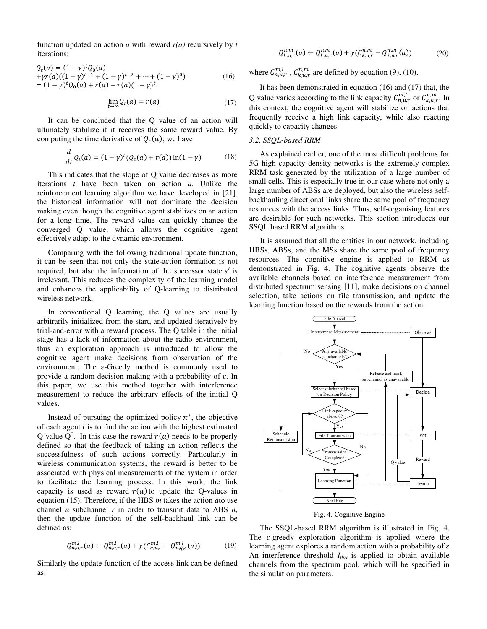function updated on action  $a$  with reward  $r(a)$  recursively by  $t$ iterations:

$$
Q_t(a) = (1 - \gamma)^t Q_0(a)
$$
  
+ $\gamma r(a)((1 - \gamma)^{t-1} + (1 - \gamma)^{t-2} + \dots + (1 - \gamma)^0)$   
=  $(1 - \gamma)^t Q_0(a) + r(a) - r(a)(1 - \gamma)^t$  (16)

$$
\lim_{t \to \infty} Q_t(a) = r(a) \tag{17}
$$

It can be concluded that the Q value of an action will ultimately stabilize if it receives the same reward value. By computing the time derivative of  $Q_t(a)$ , we have

$$
\frac{d}{dt}Q_t(a) = (1 - \gamma)^t (Q_0(a) + r(a)) \ln(1 - \gamma)
$$
 (18)

This indicates that the slope of Q value decreases as more iterations *t* have been taken on action *a*. Unlike the reinforcement learning algorithm we have developed in [\[21\]](#page-11-14), the historical information will not dominate the decision making even though the cognitive agent stabilizes on an action for a long time. The reward value can quickly change the converged Q value, which allows the cognitive agent effectively adapt to the dynamic environment.

Comparing with the following traditional update function, it can be seen that not only the state-action formation is not required, but also the information of the successor state  $s'$  is irrelevant. This reduces the complexity of the learning model and enhances the applicability of Q-learning to distributed wireless network.

In conventional Q learning, the Q values are usually arbitrarily initialized from the start, and updated iteratively by trial-and-error with a reward process. The Q table in the initial stage has a lack of information about the radio environment, thus an exploration approach is introduced to allow the cognitive agent make decisions from observation of the environment. The  $\varepsilon$ -Greedy method is commonly used to provide a random decision making with a probability of ɛ. In this paper, we use this method together with interference measurement to reduce the arbitrary effects of the initial Q values.

Instead of pursuing the optimized policy  $\pi^*$ , the objective of each agent  $i$  is to find the action with the highest estimated Q-value  $\overline{Q}^*$ . In this case the reward  $r(a)$  needs to be properly defined so that the feedback of taking an action reflects the successfulness of such actions correctly. Particularly in wireless communication systems, the reward is better to be associated with physical measurements of the system in order to facilitate the learning process. In this work, the link capacity is used as reward  $r(a)$  to update the Q-values in equation [\(15\).](#page-6-1) Therefore, if the HBS *m* takes the action *a*to use channel *u* subchannel *r* in order to transmit data to ABS *n*, then the update function of the self-backhaul link can be defined as:

$$
Q_{n,u,r}^{m,l}(a) \leftarrow Q_{n,u,r}^{m,l}(a) + \gamma (C_{n,u,r}^{m,l} - Q_{n,q,r}^{m,l}(a)) \tag{19}
$$

Similarly the update function of the access link can be defined as:

$$
Q_{k,u,r}^{n,m}(a) \leftarrow Q_{k,u,r}^{n,m}(a) + \gamma (C_{k,u,r}^{n,m} - Q_{k,u,r}^{n,m}(a))
$$
 (20)

where  $C_{n,u,r}^{m,l}$ ,  $C_{k,u,r}^{n,m}$  are defined by equation [\(9\),](#page-5-1) [\(10\).](#page-5-2)

It has been demonstrated in equation (16) and (17) that, the Q value varies according to the link capacity  $C_{n,u,r}^{m,l}$  or  $C_{k,u,r}^{n,m}$ . In this context, the cognitive agent will stabilize on actions that frequently receive a high link capacity, while also reacting quickly to capacity changes.

#### *3.2. SSQL-based RRM*

As explained earlier, one of the most difficult problems for 5G high capacity density networks is the extremely complex RRM task generated by the utilization of a large number of small cells. This is especially true in our case where not only a large number of ABSs are deployed, but also the wireless selfbackhauling directional links share the same pool of frequency resources with the access links. Thus, self-organising features are desirable for such networks. This section introduces our SSQL based RRM algorithms.

It is assumed that all the entities in our network, including HBSs, ABSs, and the MSs share the same pool of frequency resources. The cognitive engine is applied to RRM as demonstrated in Fig. 4. The cognitive agents observe the available channels based on interference measurement from distributed spectrum sensing [\[11\]](#page-11-4), make decisions on channel selection, take actions on file transmission, and update the learning function based on the rewards from the action.



Fig. 4. Cognitive Engine

The SSQL-based RRM algorithm is illustrated in Fig. 4. The  $\varepsilon$ -greedy exploration algorithm is applied where the learning agent explores a random action with a probability of ɛ. An interference threshold *Ithre* is applied to obtain available channels from the spectrum pool, which will be specified in the simulation parameters.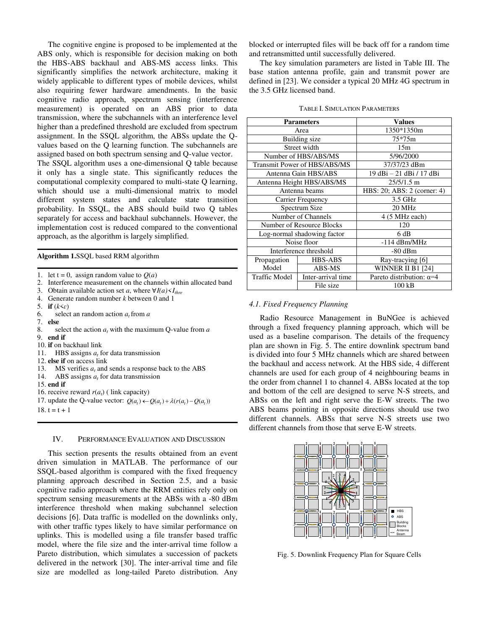The cognitive engine is proposed to be implemented at the ABS only, which is responsible for decision making on both the HBS-ABS backhaul and ABS-MS access links. This significantly simplifies the network architecture, making it widely applicable to different types of mobile devices, whilst also requiring fewer hardware amendments. In the basic cognitive radio approach, spectrum sensing (interference measurement) is operated on an ABS prior to data transmission, where the subchannels with an interference level higher than a predefined threshold are excluded from spectrum assignment. In the SSQL algorithm, the ABSs update the Qvalues based on the Q learning function. The subchannels are assigned based on both spectrum sensing and Q-value vector.

The SSQL algorithm uses a one-dimensional Q table because it only has a single state. This significantly reduces the computational complexity compared to multi-state Q learning, which should use a multi-dimensional matrix to model different system states and calculate state transition probability. In SSQL, the ABS should build two Q tables separately for access and backhaul subchannels. However, the implementation cost is reduced compared to the conventional approach, as the algorithm is largely simplified.

#### **Algorithm 1.**SSQL based RRM algorithm

1. let  $t = 0$ , assign random value to  $O(a)$ 

- 2. Interference measurement on the channels within allocated band
- 3. Obtain available action set *a*, where  $\forall I(a) \leq I_{\text{three}}$
- 4. Generate random number *k* between 0 and 1
- 5. **if**  $(k \leq \varepsilon)$ <br>6. selec
- 6. select an random action  $a_t$  from  $a$ <br>7. **else**
- 7. **else**
- 8. select the action  $a_t$  with the maximum Q-value from  $a$
- 9. **end if**
- 10. **if** on backhaul link
- 11. HBS assigns *a<sup>t</sup>* for data transmission 12. **else if** on access link
- 
- 13. MS verifies  $a_t$  and sends a response back to the ABS 14. ABS assigns  $a_t$  for data transmission
- 15. **end if**
- 16. receive reward  $r(a_t)$  ( link capacity)
- 17. update the Q-value vector:  $Q(a_t) \leftarrow Q(a_t) + \lambda (r(a_t) Q(a_t))$
- 18.  $t = t + 1$

# IV. PERFORMANCE EVALUATION AND DISCUSSION

This section presents the results obtained from an event driven simulation in MATLAB. The performance of our SSQL-based algorithm is compared with the fixed frequency planning approach described in Section 2.5, and a basic cognitive radio approach where the RRM entities rely only on spectrum sensing measurements at the ABSs with a -80 dBm interference threshold when making subchannel selection decisions [\[6\]](#page-10-5). Data traffic is modelled on the downlinks only, with other traffic types likely to have similar performance on uplinks. This is modelled using a file transfer based traffic model, where the file size and the inter-arrival time follow a Pareto distribution, which simulates a succession of packets delivered in the network [\[30\]](#page-11-23). The inter-arrival time and file size are modelled as long-tailed Pareto distribution. Any blocked or interrupted files will be back off for a random time and retransmitted until successfully delivered.

The key simulation parameters are listed in Table III. The base station antenna profile, gain and transmit power are defined in [\[23\]](#page-11-16). We consider a typical 20 MHz 4G spectrum in the 3.5 GHz licensed band.

| <b>Parameters</b>            |                    | <b>Values</b>                   |
|------------------------------|--------------------|---------------------------------|
| Area                         |                    | 1350*1350m                      |
| Building size                |                    | $75*75m$                        |
| Street width                 |                    | 15m                             |
| Number of HBS/ABS/MS         |                    | 5/96/2000                       |
| Transmit Power of HBS/ABS/MS |                    | 37/37/23 dBm                    |
| Antenna Gain HBS/ABS         |                    | 19 dBi - 21 dBi / 17 dBi        |
| Antenna Height HBS/ABS/MS    |                    | $25/5/1.5$ m                    |
| Antenna beams                |                    | HBS: 20; ABS: 2 (corner: 4)     |
| Carrier Frequency            |                    | 3.5 GHz                         |
| Spectrum Size                |                    | 20 MHz                          |
| Number of Channels           |                    | 4 (5 MHz each)                  |
| Number of Resource Blocks    |                    | 120                             |
| Log-normal shadowing factor  |                    | 6 dB                            |
| Noise floor                  |                    | $-114$ dBm/MHz                  |
| Interference threshold       |                    | $-80$ dBm                       |
| Propagation                  | <b>HBS-ABS</b>     | Ray-tracying [6]                |
| Model                        | ABS-MS             | WINNER II B1 [24]               |
| <b>Traffic Model</b>         | Inter-arrival time | Pareto distribution: $\alpha=4$ |
|                              | File size          | $100$ $kB$                      |

### TABLE I. SIMULATION PARAMETERS

### *4.1. Fixed Frequency Planning*

Radio Resource Management in BuNGee is achieved through a fixed frequency planning approach, which will be used as a baseline comparison. The details of the frequency plan are shown in Fig. 5. The entire downlink spectrum band is divided into four 5 MHz channels which are shared between the backhaul and access network. At the HBS side, 4 different channels are used for each group of 4 neighbouring beams in the order from channel 1 to channel 4. ABSs located at the top and bottom of the cell are designed to serve N-S streets, and ABSs on the left and right serve the E-W streets. The two ABS beams pointing in opposite directions should use two different channels. ABSs that serve N-S streets use two different channels from those that serve E-W streets.



Fig. 5. Downlink Frequency Plan for Square Cells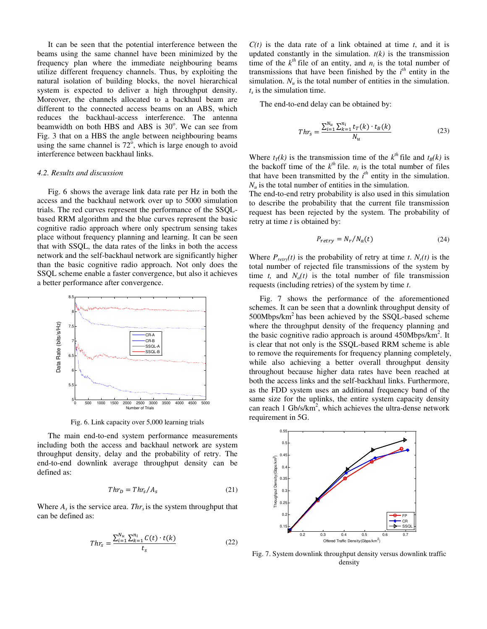It can be seen that the potential interference between the beams using the same channel have been minimized by the frequency plan where the immediate neighbouring beams utilize different frequency channels. Thus, by exploiting the natural isolation of building blocks, the novel hierarchical system is expected to deliver a high throughput density. Moreover, the channels allocated to a backhaul beam are different to the connected access beams on an ABS, which reduces the backhaul-access interference. The antenna beamwidth on both HBS and ABS is 30°. We can see from Fig. 3 that on a HBS the angle between neighbouring beams using the same channel is  $72^{\circ}$ , which is large enough to avoid interference between backhaul links.

## *4.2. Results and discussion*

[Fig. 6](#page-9-0) shows the average link data rate per Hz in both the access and the backhaul network over up to 5000 simulation trials. The red curves represent the performance of the SSQLbased RRM algorithm and the blue curves represent the basic cognitive radio approach where only spectrum sensing takes place without frequency planning and learning. It can be seen that with SSQL, the data rates of the links in both the access network and the self-backhaul network are significantly higher than the basic cognitive radio approach. Not only does the SSQL scheme enable a faster convergence, but also it achieves a better performance after convergence.



Fig. 6. Link capacity over 5,000 learning trials

<span id="page-9-0"></span>The main end-to-end system performance measurements including both the access and backhaul network are system throughput density, delay and the probability of retry. The end-to-end downlink average throughput density can be defined as:

$$
Thr_D = Thr_s / A_s \tag{21}
$$

Where  $A_s$  is the service area. *Thr<sub>s</sub>* is the system throughput that can be defined as:

$$
Thr_s = \frac{\sum_{i=1}^{N_u} \sum_{k=1}^{n_i} C(t) \cdot t(k)}{t_s}
$$
\n(22)

 $C(t)$  is the data rate of a link obtained at time *t*, and it is updated constantly in the simulation.  $t(k)$  is the transmission time of the  $k^{th}$  file of an entity, and  $n_i$  is the total number of transmissions that have been finished by the  $i<sup>th</sup>$  entity in the simulation.  $N<sub>u</sub>$  is the total number of entities in the simulation. *ts* is the simulation time.

The end-to-end delay can be obtained by:

$$
Thr_{S} = \frac{\sum_{i=1}^{N_u} \sum_{k=1}^{n_i} t_T(k) \cdot t_B(k)}{N_u}
$$
(23)

Where  $t_T(k)$  is the transmission time of the  $k^{th}$  file and  $t_B(k)$  is the backoff time of the  $k^{th}$  file.  $n_i$  is the total number of files that have been transmitted by the  $i<sup>th</sup>$  entity in the simulation.  $N<sub>u</sub>$  is the total number of entities in the simulation.

The end-to-end retry probability is also used in this simulation to describe the probability that the current file transmission request has been rejected by the system. The probability of retry at time *t* is obtained by:

$$
P_{retry} = N_r / N_a(t) \tag{24}
$$

Where  $P_{\text{retry}}(t)$  is the probability of retry at time *t*.  $N_r(t)$  is the total number of rejected file transmissions of the system by time *t*, and  $N_a(t)$  is the total number of file transmission requests (including retries) of the system by time *t*.

[Fig. 7](#page-9-1) shows the performance of the aforementioned schemes. It can be seen that a downlink throughput density of  $500Mbps/km<sup>2</sup>$  has been achieved by the SSQL-based scheme where the throughput density of the frequency planning and the basic cognitive radio approach is around 450Mbps/km<sup>2</sup>. It is clear that not only is the SSQL-based RRM scheme is able to remove the requirements for frequency planning completely, while also achieving a better overall throughput density throughout because higher data rates have been reached at both the access links and the self-backhaul links. Furthermore, as the FDD system uses an additional frequency band of the same size for the uplinks, the entire system capacity density can reach  $1 \text{Gb/s/km}^2$ , which achieves the ultra-dense network requirement in 5G.



<span id="page-9-1"></span>Fig. 7. System downlink throughput density versus downlink traffic density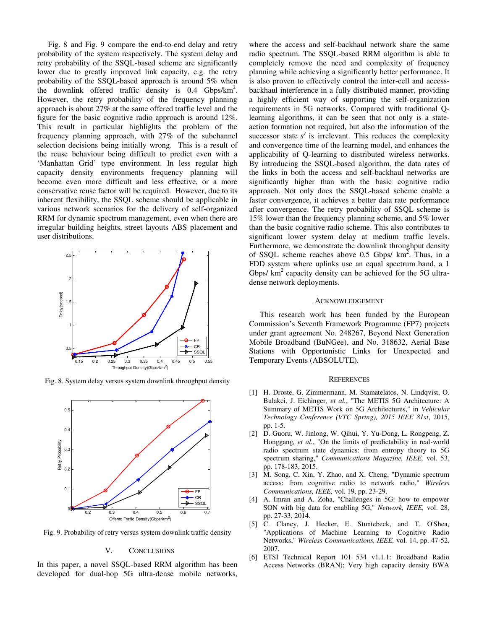[Fig. 8](#page-10-6) and [Fig. 9](#page-10-7) compare the end-to-end delay and retry probability of the system respectively. The system delay and retry probability of the SSQL-based scheme are significantly lower due to greatly improved link capacity, e.g. the retry probability of the SSQL-based approach is around 5% when the downlink offered traffic density is 0.4 Gbps/km<sup>2</sup>. However, the retry probability of the frequency planning approach is about 27% at the same offered traffic level and the figure for the basic cognitive radio approach is around 12%. This result in particular highlights the problem of the frequency planning approach, with 27% of the subchannel selection decisions being initially wrong. This is a result of the reuse behaviour being difficult to predict even with a 'Manhattan Grid' type environment. In less regular high capacity density environments frequency planning will become even more difficult and less effective, or a more conservative reuse factor will be required. However, due to its inherent flexibility, the SSQL scheme should be applicable in various network scenarios for the delivery of self-organized RRM for dynamic spectrum management, even when there are irregular building heights, street layouts ABS placement and user distributions.



<span id="page-10-6"></span>Fig. 8. System delay versus system downlink throughput density



<span id="page-10-7"></span>Fig. 9. Probability of retry versus system downlink traffic density

## V. CONCLUSIONS

In this paper, a novel SSQL-based RRM algorithm has been developed for dual-hop 5G ultra-dense mobile networks,

where the access and self-backhaul network share the same radio spectrum. The SSQL-based RRM algorithm is able to completely remove the need and complexity of frequency planning while achieving a significantly better performance. It is also proven to effectively control the inter-cell and accessbackhaul interference in a fully distributed manner, providing a highly efficient way of supporting the self-organization requirements in 5G networks. Compared with traditional Qlearning algorithms, it can be seen that not only is a stateaction formation not required, but also the information of the successor state  $s'$  is irrelevant. This reduces the complexity and convergence time of the learning model, and enhances the applicability of Q-learning to distributed wireless networks. By introducing the SSQL-based algorithm, the data rates of the links in both the access and self-backhaul networks are significantly higher than with the basic cognitive radio approach. Not only does the SSQL-based scheme enable a faster convergence, it achieves a better data rate performance after convergence. The retry probability of SSQL scheme is 15% lower than the frequency planning scheme, and 5% lower than the basic cognitive radio scheme. This also contributes to significant lower system delay at medium traffic levels. Furthermore, we demonstrate the downlink throughput density of SSQL scheme reaches above 0.5 Gbps/  $km^2$ . Thus, in a FDD system where uplinks use an equal spectrum band, a 1 Gbps/ $km^2$  capacity density can be achieved for the 5G ultradense network deployments.

#### ACKNOWLEDGEMENT

This research work has been funded by the European Commission's Seventh Framework Programme (FP7) projects under grant agreement No. 248267, Beyond Next Generation Mobile Broadband (BuNGee), and No. 318632, Aerial Base Stations with Opportunistic Links for Unexpected and Temporary Events (ABSOLUTE).

#### **REFERENCES**

- <span id="page-10-0"></span>[1] H. Droste, G. Zimmermann, M. Stamatelatos, N. Lindqvist, O. Bulakci, J. Eichinger*, et al.*, "The METIS 5G Architecture: A Summary of METIS Work on 5G Architectures," in *Vehicular Technology Conference (VTC Spring), 2015 IEEE 81st*, 2015, pp. 1-5.
- <span id="page-10-1"></span>[2] D. Guoru, W. Jinlong, W. Qihui, Y. Yu-Dong, L. Rongpeng, Z. Honggang*, et al.*, "On the limits of predictability in real-world radio spectrum state dynamics: from entropy theory to 5G spectrum sharing," *Communications Magazine, IEEE,* vol. 53, pp. 178-183, 2015.
- <span id="page-10-2"></span>[3] M. Song, C. Xin, Y. Zhao, and X. Cheng, "Dynamic spectrum access: from cognitive radio to network radio," *Wireless Communications, IEEE,* vol. 19, pp. 23-29.
- <span id="page-10-3"></span>[4] A. Imran and A. Zoha, "Challenges in 5G: how to empower SON with big data for enabling 5G," *Network, IEEE,* vol. 28, pp. 27-33, 2014.
- <span id="page-10-4"></span>[5] C. Clancy, J. Hecker, E. Stuntebeck, and T. O'Shea, "Applications of Machine Learning to Cognitive Radio Networks," *Wireless Communications, IEEE,* vol. 14, pp. 47-52, 2007.
- <span id="page-10-5"></span>[6] ETSI Technical Report 101 534 v1.1.1: Broadband Radio Access Networks (BRAN); Very high capacity density BWA